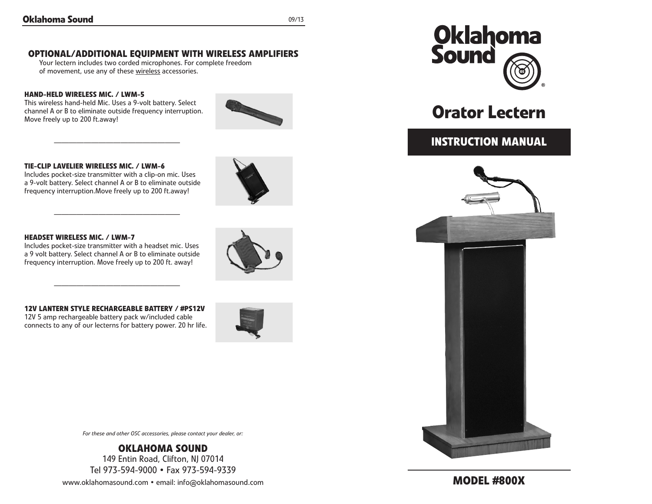## **OPTIONAL/ADDITIONAL EQUIPMENT WITH WIRELESS AMPLIFIERS**

Your lectern includes two corded microphones. For complete freedom of movement, use any of these wireless accessories.

#### **HAND-HELD WIRELESS MIC. / LWM-5**

This wireless hand-held Mic. Uses a 9-volt battery. Select channel A or B to eliminate outside frequency interruption. Move freely up to 200 ft.away!

—————————————————



#### **TIE-CLIP LAVELIER WIRELESS MIC. / LWM-6**

Includes pocket-size transmitter with a clip-on mic. Uses a 9-volt battery. Select channel A or B to eliminate outside frequency interruption.Move freely up to 200 ft.away!

—————————————————

#### **HEADSET WIRELESS MIC. / LWM-7**

Includes pocket-size transmitter with a headset mic. Uses a 9 volt battery. Select channel A or B to eliminate outside frequency interruption. Move freely up to 200 ft. away!

#### **12V LANTERN STYLE RECHARGEABLE BATTERY / #PS12V**

—————————————————

12V 5 amp rechargeable battery pack w/included cable connects to any of our lecterns for battery power. 20 hr life.





*For these and other OSC accessories, please contact your dealer, or:*

**Oklahoma Sound** 149 Entin Road, Clifton, NJ 07014 Tel 973-594-9000 • Fax 973-594-9339

www.oklahomasound.com • email: info@oklahomasound.com



# **Orator Lectern**

## **instruction Manual**



**Model #800x**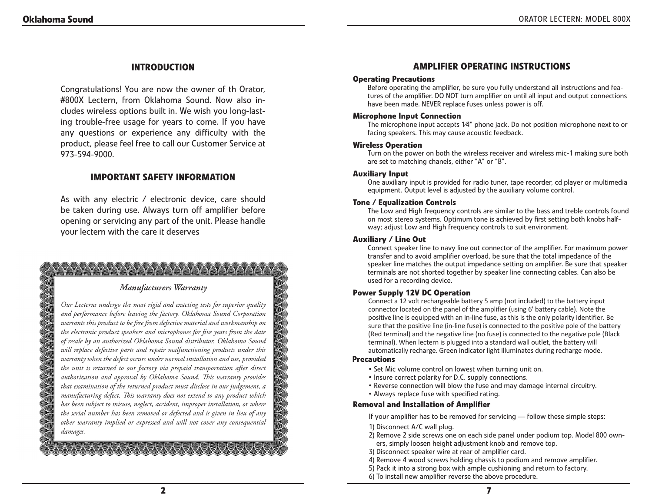## **Introduction**

Congratulations! You are now the owner of th Orator, #800X Lectern, from Oklahoma Sound. Now also includes wireless options built in. We wish you long-lasting trouble-free usage for years to come. If you have any questions or experience any difficulty with the product, please feel free to call our Customer Service at 973-594-9000.

## **important safety information**

As with any electric / electronic device, care should be taken during use. Always turn off amplifier before opening or servicing any part of the unit. Please handle your lectern with the care it deserves

## **YYYYYYYYYYYYYYYYYYY**

## *Manufacturers Warranty*

*Our Lecterns undergo the most rigid and exacting tests for superior quality and performance before leaving the factory. Oklahoma Sound Corporation warrants this product to be free from defective material and workmanship on the electronic product speakers and microphones for five years from the date of resale by an authorized Oklahoma Sound distributor. Oklahoma Sound will replace defective parts and repair malfunctioning products under this warranty when the defect occurs under normal installation and use, provided the unit is returned to our factory via prepaid transportation after direct authorization and approval by Oklahoma Sound. This warranty provides that examination of the returned product must disclose in our judgement, a manufacturing defect. This warranty does not extend to any product which has been subject to misuse, neglect, accident, improper installation, or where the serial number has been removed or defected and is given in lieu of any other warranty implied or expressed and will not cover any consequential damages.*

## **AMPLIFIER OPERATING INSTRUCTIONS**

#### **Operating Precautions**

Before operating the amplifier, be sure you fully understand all instructions and features of the amplifier. DO NOT turn amplifier on until all input and output connections have been made. NEVER replace fuses unless power is off.

#### **Microphone Input Connection**

The microphone input accepts 1⁄4" phone jack. Do not position microphone next to or facing speakers. This may cause acoustic feedback.

#### **Wireless Operation**

Turn on the power on both the wireless receiver and wireless mic-1 making sure both are set to matching chanels, either "A" or "B".

#### **Auxiliary Input**

One auxiliary input is provided for radio tuner, tape recorder, cd player or multimedia equipment. Output level is adjusted by the auxiliary volume control.

#### **Tone / Equalization Controls**

The Low and High frequency controls are similar to the bass and treble controls found on most stereo systems. Optimum tone is achieved by first setting both knobs halfway; adjust Low and High frequency controls to suit environment.

#### **Auxiliary / Line Out**

Connect speaker line to navy line out connector of the amplifier. For maximum power transfer and to avoid amplifier overload, be sure that the total impedance of the speaker line matches the output impedance setting on amplifier. Be sure that speaker terminals are not shorted together by speaker line connecting cables. Can also be used for a recording device.

#### **Power Supply 12V DC Operation**

Connect a 12 volt rechargeable battery 5 amp (not included) to the battery input connector located on the panel of the amplifier (using 6' battery cable). Note the positive line is equipped with an in-line fuse, as this is the only polarity identifier. Be sure that the positive line (in-line fuse) is connected to the positive pole of the battery (Red terminal) and the negative line (no fuse) is connected to the negative pole (Black terminal). When lectern is plugged into a standard wall outlet, the battery will automatically recharge. Green indicator light illuminates during recharge mode.

#### **Precautions**

- Set Mic volume control on lowest when turning unit on.
- Insure correct polarity for D.C. supply connections.
- Reverse connection will blow the fuse and may damage internal circuitry.
- Always replace fuse with specified rating.

#### **removal and installation of amplifier**

If your amplifier has to be removed for servicing — follow these simple steps:

- 1) Disconnect A/C wall plug.
- 2) Remove 2 side screws one on each side panel under podium top. Model 800 owners, simply loosen height adjustment knob and remove top.
- 3) Disconnect speaker wire at rear of amplifier card.

4) Remove 4 wood screws holding chassis to podium and remove amplifier.

5) Pack it into a strong box with ample cushioning and return to factory.

6) To install new amplifier reverse the above procedure.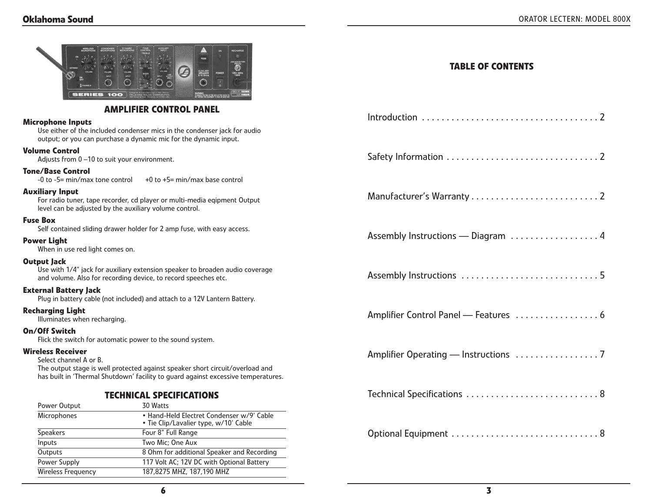| <b>SERIES 100</b>                                                                                                                                                                                                        | G<br><b>AUDILARY</b><br>EFFERING<br>∩                                              | <b>TABLE OF CONTENTS</b>           |
|--------------------------------------------------------------------------------------------------------------------------------------------------------------------------------------------------------------------------|------------------------------------------------------------------------------------|------------------------------------|
|                                                                                                                                                                                                                          | <b>AMPLIFIER CONTROL PANEL</b>                                                     |                                    |
| <b>Microphone Inputs</b><br>Use either of the included condenser mics in the condenser jack for audio<br>output; or you can purchase a dynamic mic for the dynamic input.                                                |                                                                                    |                                    |
| <b>Volume Control</b><br>Adjusts from 0-10 to suit your environment.                                                                                                                                                     |                                                                                    |                                    |
| <b>Tone/Base Control</b><br>-0 to -5= min/max tone control                                                                                                                                                               | +0 to +5= min/max base control                                                     |                                    |
| <b>Auxiliary Input</b><br>For radio tuner, tape recorder, cd player or multi-media eqipment Output<br>level can be adjusted by the auxiliary volume control.                                                             |                                                                                    |                                    |
| <b>Fuse Box</b>                                                                                                                                                                                                          | Self contained sliding drawer holder for 2 amp fuse, with easy access.             |                                    |
| <b>Power Light</b><br>When in use red light comes on.                                                                                                                                                                    |                                                                                    | Assembly Instructions - Diagram  4 |
| Output Jack<br>Use with 1/4" jack for auxiliary extension speaker to broaden audio coverage<br>and volume. Also for recording device, to record speeches etc.                                                            |                                                                                    |                                    |
| <b>External Battery Jack</b>                                                                                                                                                                                             | Plug in battery cable (not included) and attach to a 12V Lantern Battery.          |                                    |
| <b>Recharging Light</b><br>Illuminates when recharging.                                                                                                                                                                  |                                                                                    |                                    |
| On/Off Switch                                                                                                                                                                                                            | Flick the switch for automatic power to the sound system.                          |                                    |
| <b>Wireless Receiver</b><br>Select channel A or B.<br>The output stage is well protected against speaker short circuit/overload and<br>has built in 'Thermal Shutdown' facility to guard against excessive temperatures. |                                                                                    |                                    |
| <b>TECHNICAL SPECIFICATIONS</b>                                                                                                                                                                                          |                                                                                    | Technical Specifications  8        |
| Power Output                                                                                                                                                                                                             | 30 Watts                                                                           |                                    |
| Microphones                                                                                                                                                                                                              | · Hand-Held Electret Condenser w/9' Cable<br>• Tie Clip/Lavalier type, w/10' Cable |                                    |
| <b>Speakers</b>                                                                                                                                                                                                          | Four 8" Full Range                                                                 |                                    |
| Inputs                                                                                                                                                                                                                   | Two Mic; One Aux                                                                   |                                    |
| Outputs                                                                                                                                                                                                                  | 8 Ohm for additional Speaker and Recording                                         |                                    |
| Power Supply                                                                                                                                                                                                             | 117 Volt AC; 12V DC with Optional Battery                                          |                                    |

Wireless Frequency 187,8275 MHZ, 187,190 MHZ